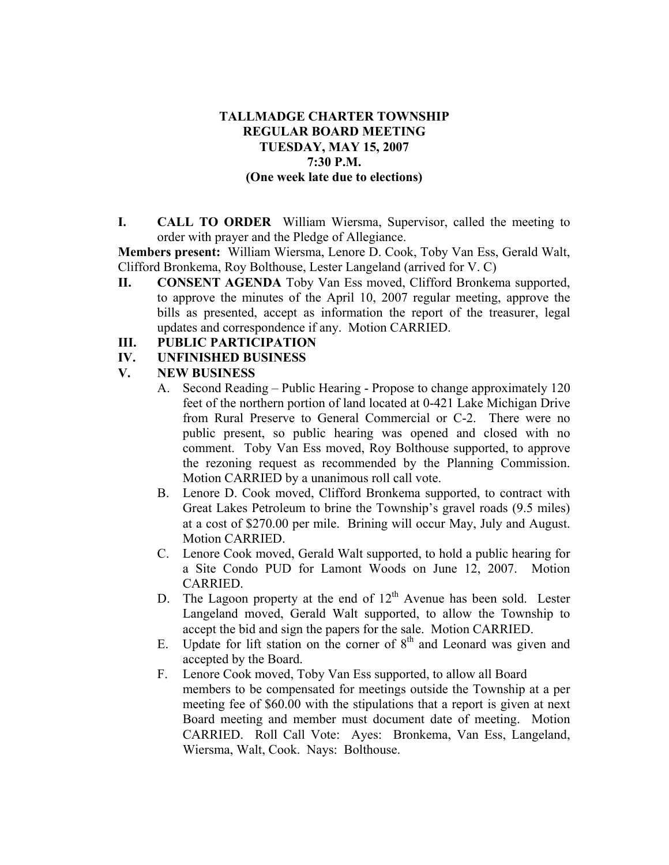## **TALLMADGE CHARTER TOWNSHIP REGULAR BOARD MEETING TUESDAY, MAY 15, 2007 7:30 P.M. (One week late due to elections)**

**I. CALL TO ORDER** William Wiersma, Supervisor, called the meeting to order with prayer and the Pledge of Allegiance.

**Members present:** William Wiersma, Lenore D. Cook, Toby Van Ess, Gerald Walt, Clifford Bronkema, Roy Bolthouse, Lester Langeland (arrived for V. C)

**II. CONSENT AGENDA** Toby Van Ess moved, Clifford Bronkema supported, to approve the minutes of the April 10, 2007 regular meeting, approve the bills as presented, accept as information the report of the treasurer, legal updates and correspondence if any. Motion CARRIED.

## **III. PUBLIC PARTICIPATION**

**IV. UNFINISHED BUSINESS** 

## **V. NEW BUSINESS**

- A. Second Reading Public Hearing Propose to change approximately 120 feet of the northern portion of land located at 0-421 Lake Michigan Drive from Rural Preserve to General Commercial or C-2. There were no public present, so public hearing was opened and closed with no comment. Toby Van Ess moved, Roy Bolthouse supported, to approve the rezoning request as recommended by the Planning Commission. Motion CARRIED by a unanimous roll call vote.
- B. Lenore D. Cook moved, Clifford Bronkema supported, to contract with Great Lakes Petroleum to brine the Township's gravel roads (9.5 miles) at a cost of \$270.00 per mile. Brining will occur May, July and August. Motion CARRIED.
- C. Lenore Cook moved, Gerald Walt supported, to hold a public hearing for a Site Condo PUD for Lamont Woods on June 12, 2007. Motion CARRIED.
- D. The Lagoon property at the end of  $12<sup>th</sup>$  Avenue has been sold. Lester Langeland moved, Gerald Walt supported, to allow the Township to accept the bid and sign the papers for the sale. Motion CARRIED.
- E. Update for lift station on the corner of  $8<sup>th</sup>$  and Leonard was given and accepted by the Board.
- F. Lenore Cook moved, Toby Van Ess supported, to allow all Board members to be compensated for meetings outside the Township at a per meeting fee of \$60.00 with the stipulations that a report is given at next Board meeting and member must document date of meeting. Motion CARRIED. Roll Call Vote: Ayes: Bronkema, Van Ess, Langeland, Wiersma, Walt, Cook. Nays: Bolthouse.